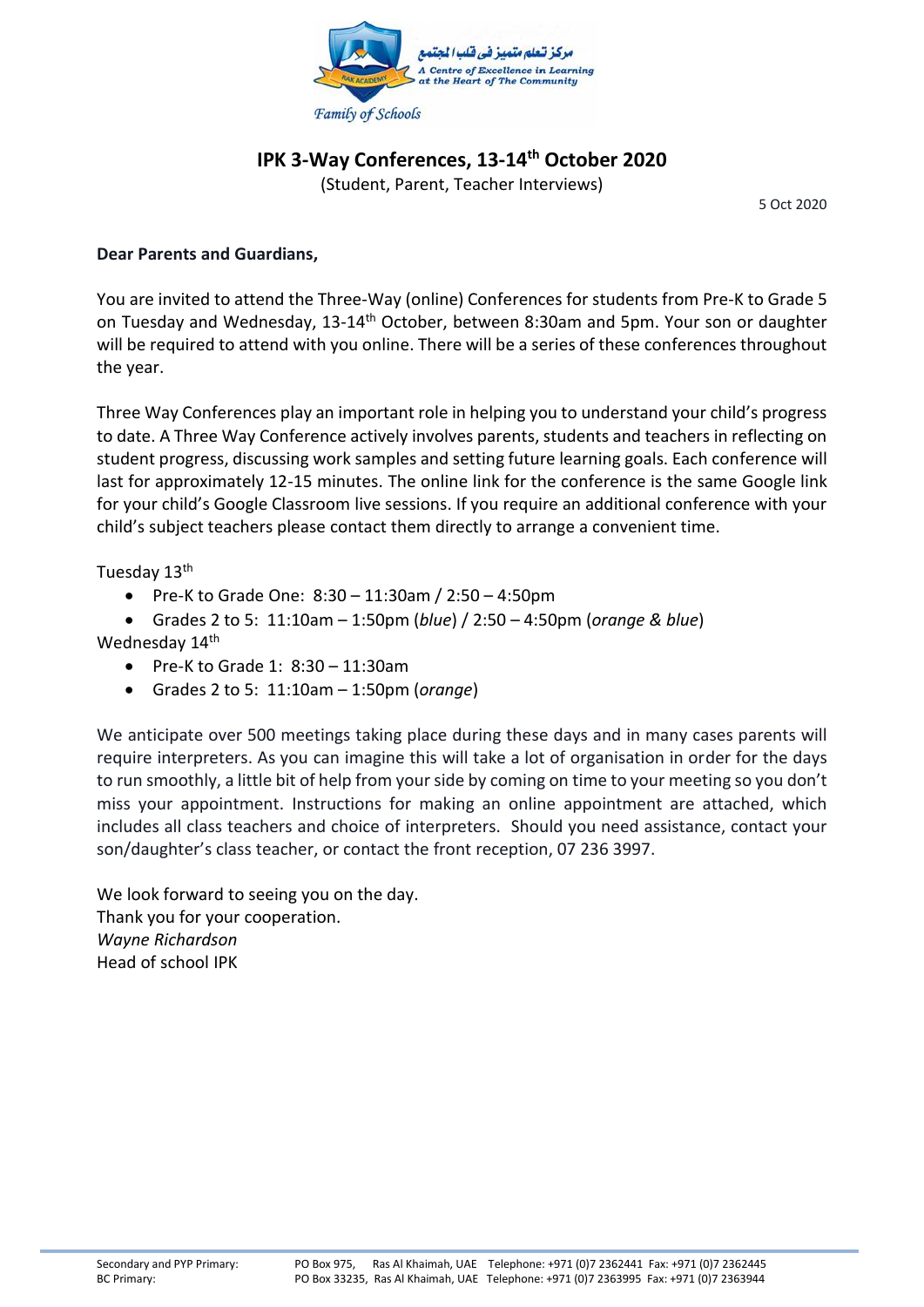

## **IPK 3-Way Conferences, 13-14th October 2020**

(Student, Parent, Teacher Interviews)

5 Oct 2020

## **Dear Parents and Guardians,**

You are invited to attend the Three-Way (online) Conferences for students from Pre-K to Grade 5 on Tuesday and Wednesday, 13-14<sup>th</sup> October, between 8:30am and 5pm. Your son or daughter will be required to attend with you online. There will be a series of these conferences throughout the year.

Three Way Conferences play an important role in helping you to understand your child's progress to date. A Three Way Conference actively involves parents, students and teachers in reflecting on student progress, discussing work samples and setting future learning goals. Each conference will last for approximately 12-15 minutes. The online link for the conference is the same Google link for your child's Google Classroom live sessions. If you require an additional conference with your child's subject teachers please contact them directly to arrange a convenient time.

Tuesday 13th

- Pre-K to Grade One: 8:30 11:30am / 2:50 4:50pm
- Grades 2 to 5: 11:10am 1:50pm (*blue*) / 2:50 4:50pm (*orange & blue*)

Wednesday 14<sup>th</sup>

- $\bullet$  Pre-K to Grade 1: 8:30 11:30am
- Grades 2 to 5: 11:10am 1:50pm (*orange*)

We anticipate over 500 meetings taking place during these days and in many cases parents will require interpreters. As you can imagine this will take a lot of organisation in order for the days to run smoothly, a little bit of help from your side by coming on time to your meeting so you don't miss your appointment. Instructions for making an online appointment are attached, which includes all class teachers and choice of interpreters. Should you need assistance, contact your son/daughter's class teacher, or contact the front reception, 07 236 3997.

We look forward to seeing you on the day. Thank you for your cooperation. *Wayne Richardson* Head of school IPK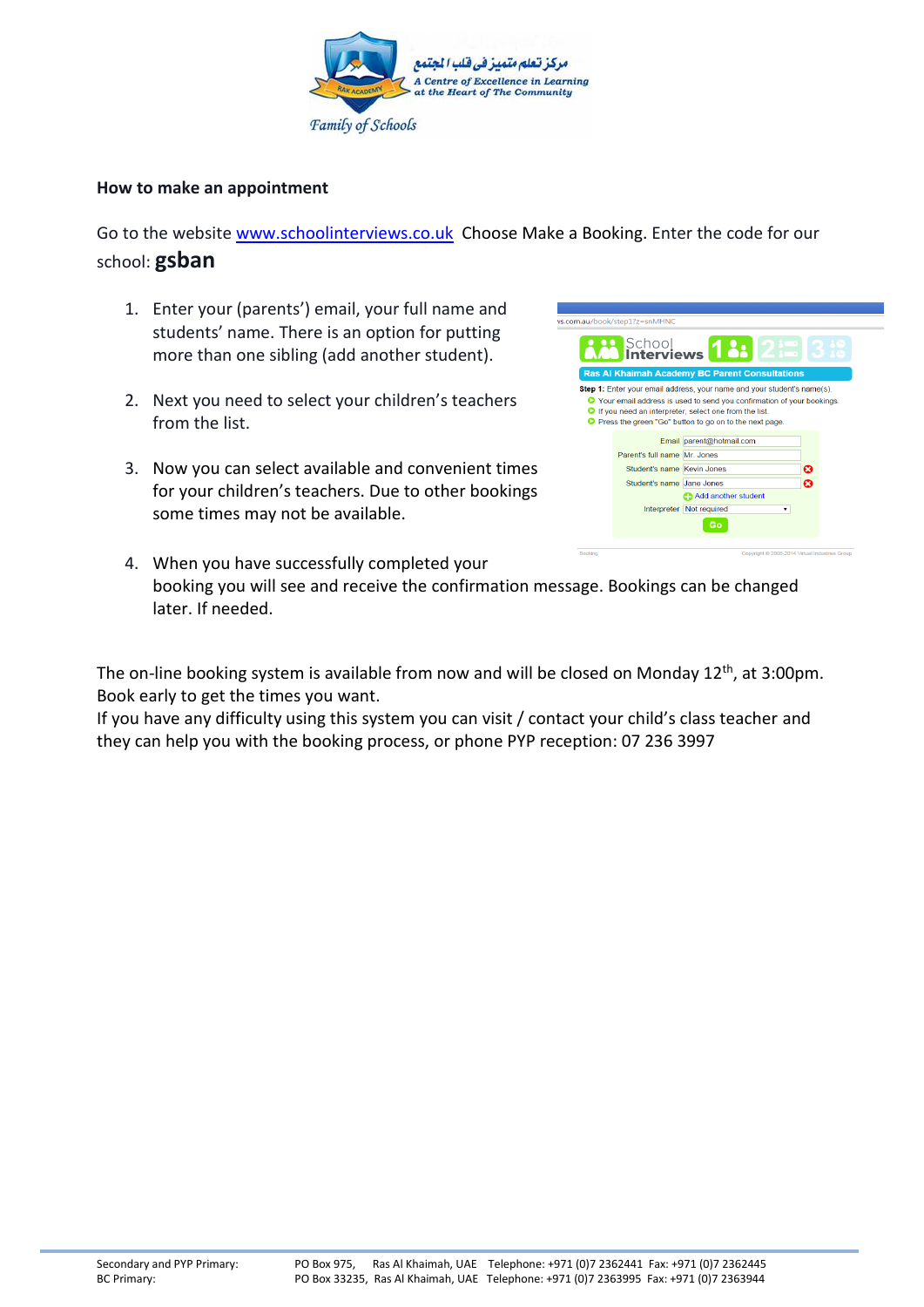

## **How to make an appointment**

Go to the website [www.schoolinterviews.co.uk](http://www.schoolinterviews.co.uk/) Choose Make a Booking. Enter the code for our school: **gsban**

- 1. Enter your (parents') email, your full name and students' name. There is an option for putting more than one sibling (add another student).
- 2. Next you need to select your children's teachers from the list.
- 3. Now you can select available and convenient times for your children's teachers. Due to other bookings some times may not be available.

|         | .com.au/book/step1?z=snMHNC                                |                                                                                                                                                                                                                                                                                                       |   |   |  |
|---------|------------------------------------------------------------|-------------------------------------------------------------------------------------------------------------------------------------------------------------------------------------------------------------------------------------------------------------------------------------------------------|---|---|--|
|         |                                                            | <b>P.</b> School <b>18: 2: 3:</b>                                                                                                                                                                                                                                                                     |   |   |  |
|         |                                                            | Ras Al Khaimah Academy BC Parent Consultations                                                                                                                                                                                                                                                        |   |   |  |
|         |                                                            | <b>Step 1:</b> Enter your email address, your name and your student's name(s).<br><b>O</b> Your email address is used to send you confirmation of your bookings.<br><b>O</b> If you need an interpreter, select one from the list.<br><b>O</b> Press the green "Go" button to go on to the next page. |   |   |  |
|         |                                                            | Email parent@hotmail.com                                                                                                                                                                                                                                                                              |   |   |  |
|         | Parent's full name Mr. Jones<br>Student's name Kevin Jones |                                                                                                                                                                                                                                                                                                       |   | ణ |  |
|         | Student's name Jane Jones                                  | Add another student                                                                                                                                                                                                                                                                                   |   | ø |  |
|         |                                                            | Interpreter Not required<br>eτ                                                                                                                                                                                                                                                                        | ۰ |   |  |
| Booking |                                                            | Copyright @ 2008-2014 Virtual Industries Group                                                                                                                                                                                                                                                        |   |   |  |

4. When you have successfully completed your booking you will see and receive the confirmation message. Bookings can be changed later. If needed.

The on-line booking system is available from now and will be closed on Monday 12<sup>th</sup>, at 3:00pm. Book early to get the times you want.

If you have any difficulty using this system you can visit / contact your child's class teacher and they can help you with the booking process, or phone PYP reception: 07 236 3997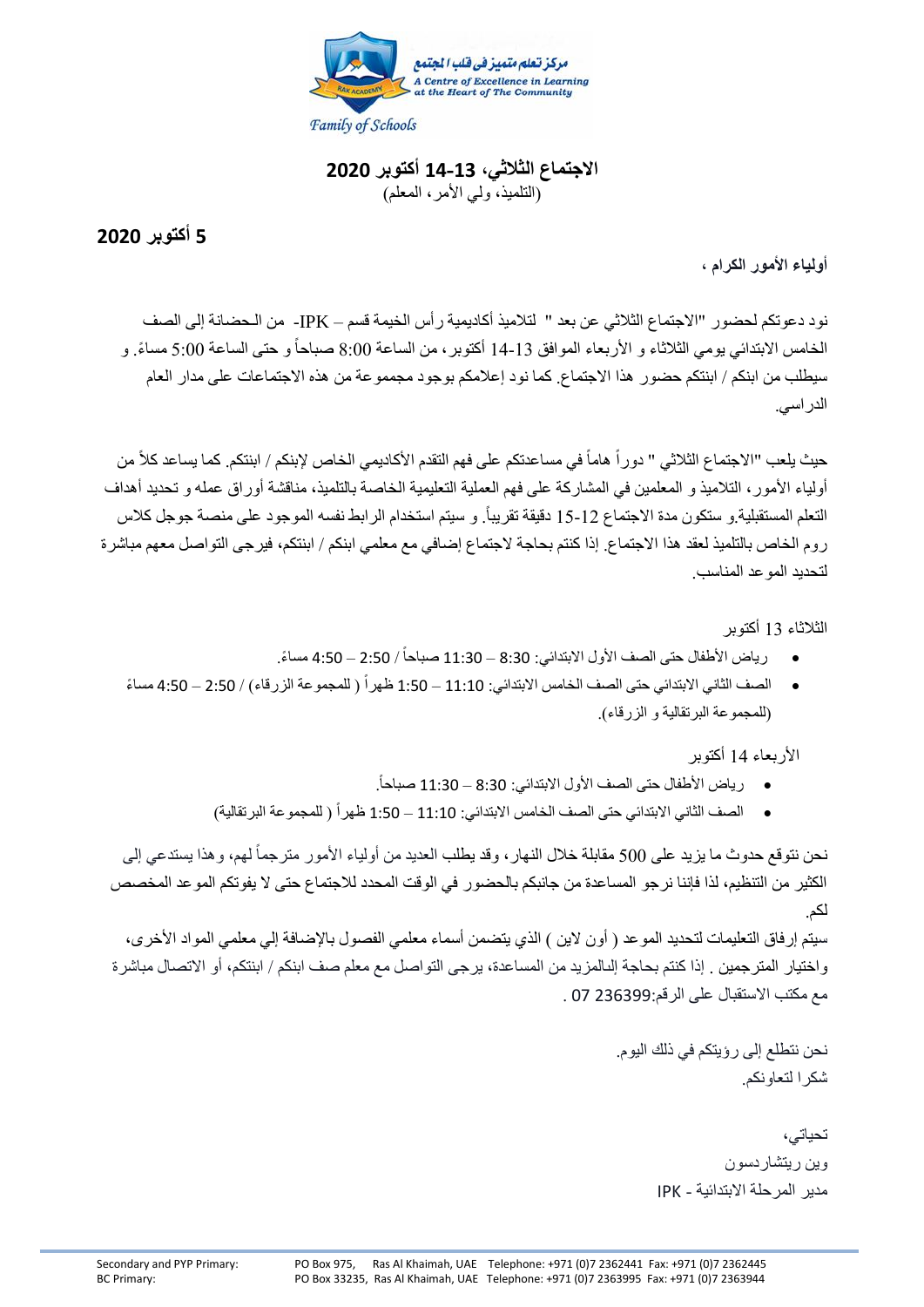

**االجتماع الثالثي، 14-13 أكتوبر 2020** (التلميذ، ولي الأمر، المعلم)

**5 أكتوبر 2020**

**أولياء األمور الكرام ،**

نود دعوتكم لحضور "االجتماع الثالثي عن بعد " لتالميذ أكاديمية رأس الخيمة قسم – IPK- من الـحضانة إلى الصف الخامس الابتدائي يومي الثلاثاء و الأربعاء الموافق 13-14 أكتوبر ، من الساعة 8:00 صباحاً و حتى الساعة 5:00 مساءً. و سيطلب من ابنكم / ابنتكم حضور هذا االجتماع. كما نود إعالمكم بوجود مجمموعة من هذه االجتماعات على مدار العام الدراسي.

حيث يلعب "الاجتماع الثلاثي " دوراً هاماً في مساعدتكم على فهم التقدم الأكاديمي الخاص لإبنكم / ابنتكم. كما يساعد كلاً من أولياء الأمور، التلاميذ و المعلمين في المشاركة على فهم العملية التعليمية الخاصة بالتلميذ، مناقشة أوراق عمله و تحديد أهداف التعلم المستقبلية و ستكون مدة الاجتماع 12-15 دقيقة تقريباً. و سيتم استخدام الرابط نفسه الموجود على منصـة جوجل كلاس روم الخاص بالتلميذ لعقد هذا االجتماع. إذا كنتم بحاجة الجتماع إضافي مع معلمي ابنكم / ابنتكم، فيرجى التواصل معهم مباشرة لتحديد الموعد المناسب.

الثالثاء 13 أكتوبر

- رياض الأطفال حتى الصف الأول الابتدائي: 8:30 11:30 صباحاً / 2:50 4:50 مساءً. ً
- الصف الثاني الابتدائي حتى الصف الخامس الابتدائي: 11:10 1:50 ظهر أ ( للمجموعة الزرقاء) / 2:50 4:50 مساءً ً )للمجموعة البرتقالية و الزرقاء(.

األربعاء 14 أكتوبر

- . رياض األطفال حتى الصف األول االبتدائي: 8:30 11:30 صباحا ً
- الصف الثاني الابتدائي حتى الصف الخامس الابتدائي: 11:10 1:50 ظهر أ ( للمجمو عة البر تقالية) ً

نحن نتوقع حدوث ما يزيد على 500 مقابلة خلال النهار ، وقد يطلب العديد من أولياء الأمور مترجماً لهم، وهذا يستدعي إلى الكثير من التنظيم، لذا فإننا نرجو المساعدة من جانبكم بالحضور في الوقت المحدد لالجتماع حتى ال يفوتكم الموعد المخصص لكم.

سيتم إرفاق التعليمات لتحديد الموعد ( أون لاين ) الذي يتضمن أسماء معلمي الفصول بالإضافة إلي معلمي المواد الأخرى، واختيار المترجمين . إذا كنتم بحاجة إلىالمزيد من المساعدة، يرجى التواصل مع معلم صف ابنكم / ابنتكم، أو االتصال مباشرة مع مكتب االستقبال على الرقم236399: 07 .

> نحن نتطلع إلى رؤيتكم في ذلك اليوم. شكرا لتعاونكم.

> > تحياتي، وين ريتشاردسون مدير المرحلة االبتدائية - IPK